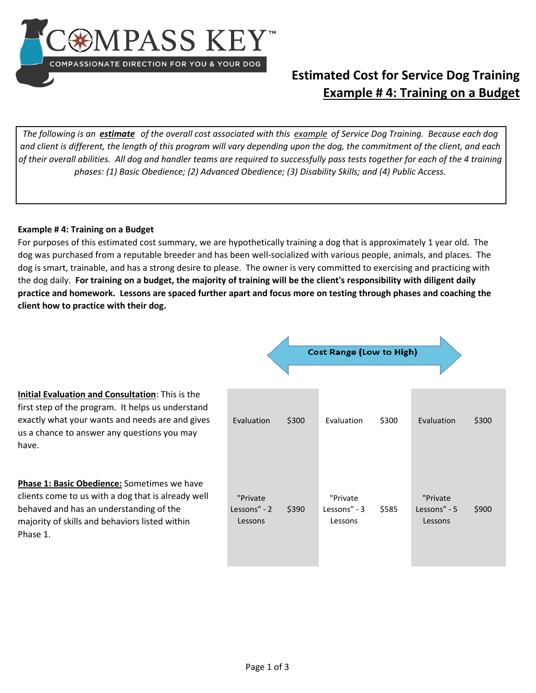

## **Estimated Cost for Service Dog Training Example # 4: Training on a Budget**

*The following is an estimate of the overall cost associated with this example of Service Dog Training. Because each dog and client is different, the length of this program will vary depending upon the dog, the commitment of the client, and each of their overall abilities. All dog and handler teams are required to successfully pass tests together for each of the 4 training phases: (1) Basic Obedience; (2) Advanced Obedience; (3) Disability Skills; and (4) Public Access.* 

## **Example # 4: Training on a Budget**

For purposes of this estimated cost summary, we are hypothetically training a dog that is approximately 1 year old. The dog was purchased from a reputable breeder and has been well-socialized with various people, animals, and places. The dog is smart, trainable, and has a strong desire to please. The owner is very committed to exercising and practicing with the dog daily. **For training on a budget, the majority of training will be the client's responsibility with diligent daily practice and homework. Lessons are spaced further apart and focus more on testing through phases and coaching the client how to practice with their dog.** 

Δ

|                                                                                                                                                                                                                  | <b>Cost Range (Low to High)</b>     |       |                                     |       |                                     |       |  |  |
|------------------------------------------------------------------------------------------------------------------------------------------------------------------------------------------------------------------|-------------------------------------|-------|-------------------------------------|-------|-------------------------------------|-------|--|--|
| Initial Evaluation and Consultation: This is the<br>first step of the program. It helps us understand<br>exactly what your wants and needs are and gives<br>us a chance to answer any questions you may<br>have. | Evaluation                          | \$300 | Evaluation                          | \$300 | Evaluation                          | \$300 |  |  |
| Phase 1: Basic Obedience: Sometimes we have<br>clients come to us with a dog that is already well<br>behaved and has an understanding of the<br>majority of skills and behaviors listed within<br>Phase 1.       | "Private<br>Lessons" - 2<br>Lessons | \$390 | "Private<br>Lessons" - 3<br>Lessons | \$585 | "Private<br>Lessons" - 5<br>Lessons | \$900 |  |  |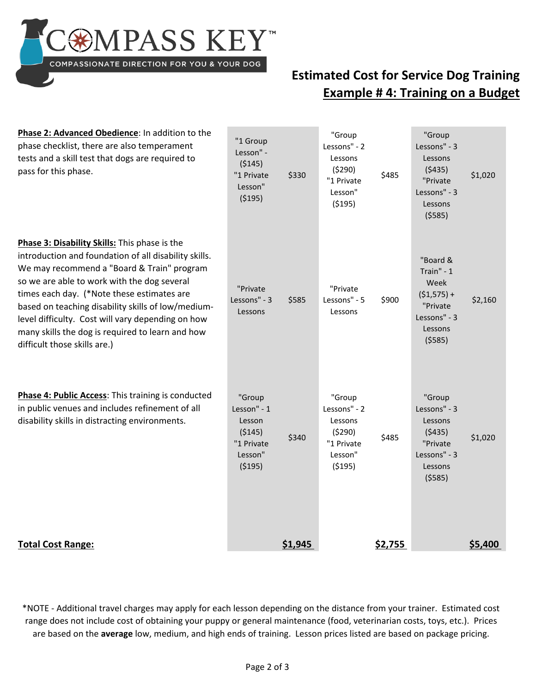**OMPASS KEY** COMPASSIONATE DIRECTION FOR YOU & YOUR DOG

## **Estimated Cost for Service Dog Training Example # 4: Training on a Budget**

| Phase 2: Advanced Obedience: In addition to the<br>phase checklist, there are also temperament<br>tests and a skill test that dogs are required to<br>pass for this phase.                                                                                                                                                                                                                                                                       | "1 Group<br>Lesson" -<br>(5145)<br>"1 Private<br>Lesson"<br>(5195)             | \$330   | "Group<br>Lessons" - 2<br>Lessons<br>(5290)<br>"1 Private<br>Lesson"<br>(5195) | \$485   | "Group<br>Lessons" - 3<br>Lessons<br>(5435)<br>"Private<br>Lessons" - 3<br>Lessons<br>(5585)     | \$1,020 |
|--------------------------------------------------------------------------------------------------------------------------------------------------------------------------------------------------------------------------------------------------------------------------------------------------------------------------------------------------------------------------------------------------------------------------------------------------|--------------------------------------------------------------------------------|---------|--------------------------------------------------------------------------------|---------|--------------------------------------------------------------------------------------------------|---------|
| Phase 3: Disability Skills: This phase is the<br>introduction and foundation of all disability skills.<br>We may recommend a "Board & Train" program<br>so we are able to work with the dog several<br>times each day. (*Note these estimates are<br>based on teaching disability skills of low/medium-<br>level difficulty. Cost will vary depending on how<br>many skills the dog is required to learn and how<br>difficult those skills are.) | "Private<br>Lessons" - 3<br>Lessons                                            | \$585   | "Private<br>Lessons" - 5<br>Lessons                                            | \$900   | "Board &<br>Train" - 1<br>Week<br>$(51, 575) +$<br>"Private<br>Lessons" - 3<br>Lessons<br>(5585) | \$2,160 |
| Phase 4: Public Access: This training is conducted<br>in public venues and includes refinement of all<br>disability skills in distracting environments.                                                                                                                                                                                                                                                                                          | "Group<br>Lesson" - 1<br>Lesson<br>( \$145)<br>"1 Private<br>Lesson"<br>(5195) | \$340   | "Group<br>Lessons" - 2<br>Lessons<br>(5290)<br>"1 Private<br>Lesson"<br>(5195) | \$485   | "Group<br>Lessons" - 3<br>Lessons<br>(5435)<br>"Private<br>Lessons" - 3<br>Lessons<br>(5585)     | \$1,020 |
| <b>Total Cost Range:</b>                                                                                                                                                                                                                                                                                                                                                                                                                         |                                                                                | \$1,945 |                                                                                | \$2,755 |                                                                                                  | \$5,400 |

\*NOTE - Additional travel charges may apply for each lesson depending on the distance from your trainer. Estimated cost range does not include cost of obtaining your puppy or general maintenance (food, veterinarian costs, toys, etc.). Prices are based on the **average** low, medium, and high ends of training. Lesson prices listed are based on package pricing.